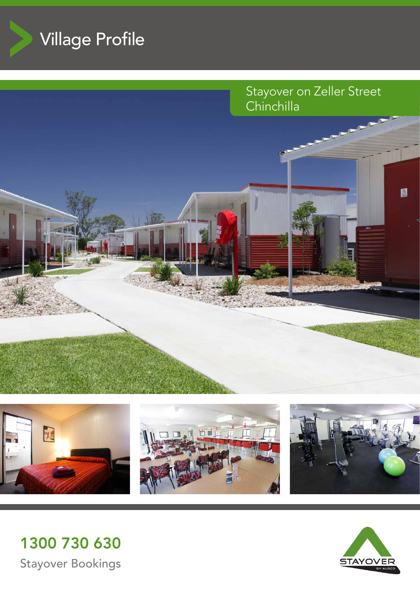











1300 730 630 Stayover Bookings